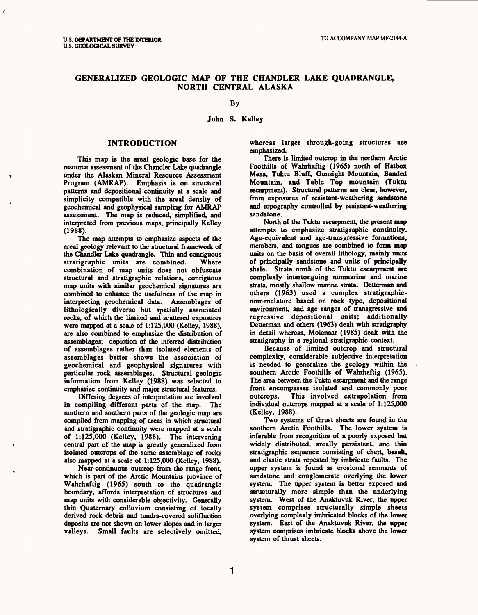# **GENERALIZED GEOLOGIC MAP OF THE CHANDLER LAKE QUADRANGLE, NORTH CENTRAL ALASKA**

## By

#### **John S. Kelley**

#### **INTRODUCTION**

This map is the areal geologic base for the resource assessment of the Chandler Lake quadrangle under the Alaskan Mineral Resource Assessment Program (AMRAP). Emphasis is on structural patterns and depositional continuity at a scale and simplicity compatible with the areal density of geochemical and geophysical sampling for AMRAP assessment. The map is reduced, simplified, and interpreted from previous maps, principally Kelley (1988).

The map attempts to emphasize aspects of the areal geology relevant to the structural framework of the Chandler Lake quadrangle. Thin and contiguous stratigraphic units are combined. Where combination of map units does not obfuscate structural and stratigraphic relations, contiguous map units with similar geochemical signatures are combined to enhance the usefulness of the map in interpreting geochemical data. Assemblages of lithologically diverse but spatially associated rocks, of which the limited and scattered exposures were mapped at a scale of 1:125,000 (Kelley, 1988), are also combined to emphasize the distribution of assemblages; depiction of the inferred distribution of assemblages rather than isolated elements of assemblages better shows the association of geochemical and geophysical signatures with particular rock assemblages. Structural geologic information from Kelley (1988) was selected to emphasize continuity and major structural features.

Differing degrees of interpretation are involved in compiling different parts of the map. The northern and southern parts of the geologic map are compiled from mapping of areas in which structural and stratigraphic continuity were mapped at a scale of 1:125,000 (Kelley, 1988). The intervening central part of the map is greatly generalized from isolated outcrops of the same assemblage of rocks also mapped at a scale of 1:125,000 (Kelley, 1988).

Near-continuous outcrop from the range front, which is part of the Arctic Mountains province of Wahrhaftig (1965) south to the quadrangle boundary, affords interpretation of structures and map units with considerable objectivity. Generally thin Quaternary colluvium consisting of locally derived rock debris and tundra-covered solifluction deposits are not shown on lower slopes and in larger valleys. Small faults are selectively omitted,

whereas larger through-going structures are emphasized.

There is limited outcrop in the northern Arctic Foothills of Wahrhaftig (1965) north of Hatbox Mesa, Tuktu Bluff, Gunsight Mountain, Banded Mountain, and Table Top mountain (Tuktu escarpment). Structural patterns are clear, however, from exposures of resistant-weathering sandstone and topography controlled by resistant-weathering sandstone.

North of the Tuktu escarpment, the present map attempts to emphasize stratigraphic continuity. Age-equivalent and age-transgressive formations, members, and tongues are combined to form map units on the basis of overall lithology, mainly units of principally sandstone and units of principally shale. Strata north of the Tuktu escarpment are complexly intertonguing nonmarine and marine strata, mostly shallow marine strata. Detterman and others (1963) used a complex stratigraphicnomenclature based on rock type, depositional environment, and age ranges of transgressive and regressive depositional units; additionally Detterman and others (1963) dealt with stratigraphy in detail whereas, Molenaar (1985) dealt with the stratigraphy in a regional stratigraphic context.

Because of limited outcrop and structural complexity, considerable subjective interpretation is needed to generalize the geology within the southern Arctic Foothills of Wahrhaftig (1965). The area between the Tuktu escarpment and the range front encompasses isolated and commonly poor outcrops. This involved extrapolation from individual outcrops mapped at a scale of 1:125,000 (Kelley, 1988).

Two systems of thrust sheets are found in the southern Arctic Foothills. The lower system is inferable from recognition of a poorly exposed but widely distributed, areally persistent, and thin stratigraphic sequence consisting of chert, basalt, and clastic strata repeated by imbricate faults. The upper system is found as erosional remnants of sandstone and conglomerate overlying the lower system. The upper system is better exposed and structurally more simple than the underlying system. West of the Anaktuvuk River, the upper system comprises structurally simple sheets overlying complexly imbricated blocks of the lower system. East of the Anaktuvuk River, the upper system comprises imbricate blocks above the lower system of thrust sheets.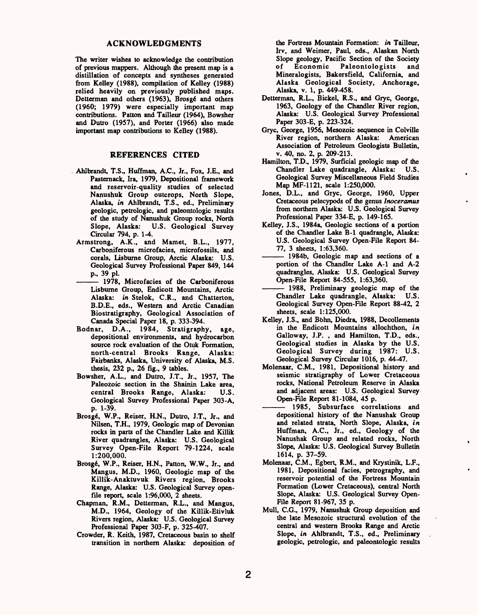#### **ACKNOWLEDGMENTS**

The writer wishes to acknowledge the contribution of previous mappers. Although the present map is a distillation of concepts and syntheses generated from Kelley (1988), compilation of Kelley (1988) relied heavily on previously published maps. Detterman and others (1963), Brosgé and others (1960; 1979) were especially important map contributions. Patton and Tailleur (1964), Bowsher and Dutro (1957), and Porter (1966) also made important map contributions to Kelley (1988).

#### **REFERENCES CITED**

- Ahlbrandt, T.S., Huffman, A.C., Jr., Fox, I.E., and Pasternack, Ira, 1979, Depositional framework and reservoir-quality studies of selected Nanushuk Group outcrops. North Slope, Alaska, *in* Ahlbrandt, T.S., ed., Preliminary geologic, petrologic, and paleontologic results of the study of Nanushuk Group rocks, North<br>Slope, Alaska: U.S. Geological Survey U.S. Geological Survey Circular 794, p. 1-4.
- Armstrong, A.K., and Mamet, B.L., 1977, Carboniferous microfacies, microfossils, and corals, Lisburne Group, Arctic Alaska: U.S. Geological Survey Professional Paper 849, 144 p., 39 pi.
- 1978, Microfacies of the Carboniferous Lisbume Group, Endicott Mountains, Arctic Alaska: *in* Stelok, C.R., and Chatterton, B.D.E., eds., Western and Arctic Canadian Biostratigraphy, Geological Association of Canada Special Paper 18, p. 333-394.
- Bodnar, D.A., 1984, Stratigraphy, age, depositional environments, and hydrocarbon source rock evaluation of the Otuk Formation, north-central Brooks Range, Alaska: Fairbanks, Alaska, University of Alaska, M.S. thesis, 232 p., 26 fig., 9 tables.
- Bowsher, A.L., and Dutro, J.T., Jr., 1957, The Paleozoic section in the Shainin Lake area, central Brooks Range, Alaska: U.S. Geological Survey Professional Paper 303-A, p. 1-39.
- Brosgé, W.P., Reiser, H.N., Dutro, J.T., Jr., and Nilsen, T.H., 1979, Geologic map of Devonian rocks in parts of the Chandler Lake and Killik River quadrangles, Alaska: U.S. Geological Survey Open-File Report 79-1224, scale 1:200,000.
- Brosgé, W.P., Reiser, H.N., Patton, W.W., Jr., and Mangus, M.D., 1960, Geologic map of the Killik-Anaktuvuk Rivers region, Brooks Range, Alaska: U.S. Geological Survey openfile report, scale 1:96,000, 2 sheets.
- Chapman, R.M., Detterman, R.L., and Mangus, M.D., 1964, Geology of the Killik-Etivluk Rivers region, Alaska: U.S. Geological Survey Professional Paper 303-F, p. 325-407.
- Crowder, R. Keith, 1987, Cretaceous basin to shelf transition in northern Alaska: deposition of

the Fortress Mountain Formation: *in* Tailleur, Irv, and Weimer, Paul, eds., Alaskan North Slope geology, Pacific Section of the Society<br>of Economic Paleontologists and of Economic Paleontologists and Mineralogists, Bakersfield, California, and Alaska Geological Society, Anchorage, Alaska, v. 1, p. 449-458.

- Detterman, R.L., Bickel, R.S., and Gryc, George, 1963, Geology of the Chandler River region, Alaska: U.S. Geological Survey Professional Paper 303-E, p. 223-324.
- Gryc, George, 1956, Mesozoic sequence in Colville River region, northern Alaska: American Association of Petroleum Geologists Bulletin, v. 40, no. 2, p. 209-213.
- Hamilton, T.D., 1979, Surficial geologic map of the Chandler Lake quadrangle, Alaska: U.S. Geological Survey Miscellaneous Field Studies Map MF-1121, scale 1:250,000.
- Jones, D.L., and Gryc, George, 1960, Upper Cretaceous pelecypods of the genus *Inoceramus*  from northern Alaska: U.S. Geological Survey Professional Paper 334-E, p. 149-165.
- Kelley, J.S., 1984a, Geologic sections of a portion of the Chandler Lake B-l quadrangle, Alaska: U.S. Geological Survey Open-File Report 84-<br>
77, 3 sheets, 1:63,360.<br>
<u>1984b</u>, Geologic map and sections of a<br>
portion of the Chandler Lake A-1 and A-2 77, 3 sheets,  $1:63,360$ .<br>- 1984b, Geologic map and sections of a
- portion of the Chandler Lake A-l and A-2 quadrangles, Alaska: U.S. Geological Survey Open-File Report 84-555, 1:63,360.
- 1988, Preliminary geologic map of the Chandler Lake quadrangle, Alaska: U.S. Geological Survey Open-File Report 88-42, 2 sheets, scale 1:125,000.
- Kelley, J.S., and Bbhn, Diedra, 1988, Decollements in the Endicott Mountains allochthon, *in*  Galloway, J.P. , and Hamilton, T.D., eds., Geological studies in Alaska by the U.S. Geological Survey during 1987: U.S. Geological Survey Circular 1016, p. 44-47.
- Molenaar, C.M., 1981, Depositional history and seismic stratigraphy of Lower Cretaceous rocks, National Petroleum Reserve in Alaska and adjacent areas: U.S. Geological Survey Open-File Report 81-1084, 45 p.
- 1985, Subsurface correlations and depositional history of the Nanushak Group and related strata. North Slope, Alaska, *in*  Huffman, A.C., Jr., ed., Geology of the Nanushak Group and related rocks, North Slope, Alaska: U.S. Geological Survey Bulletin 1614, p. 37-59.
- Molenaar, C.M., Egbert, R.M., and Krystinik, L.F., 1981, Depositional facies, petrography, and reservoir potential of the Fortress Mountain Formation (Lower Cretaceous), central North Slope, Alaska: U.S. Geological Survey Open-File Report 81-967, 35 p.
- Mull, C.G., 1979, Nanushuk Group deposition and the late Mesozoic structural evolution of the central and western Brooks Range and Arctic Slope, *in* Ahlbrandt, T.S., ed., Preliminary geologic, petrologic, and paleontologic results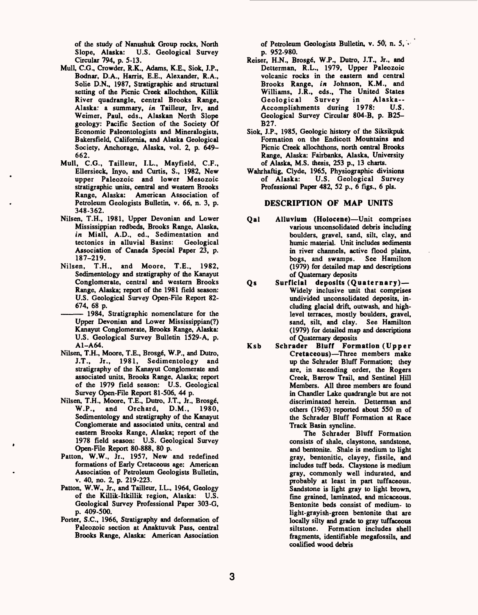of the study of Nanushuk Group rocks, North Slope, Alaska: U.S. Geological Survey Circular 794, p. 5-13.

- Mull, C.G., Crowder, R.K., Adams, K.E., Siok, J.P., Bodnar, D.A., Harris, E.E., Alexander, R.A., Solie D.N., 1987, Stratigraphic and structural setting of the Picnic Creek allochthon, Killik River quadrangle, central Brooks Range, Alaska: a summary, *in* Tailleur, Irv, and Weimer, Paul, eds., Alaskan North Slope geology: Pacific Section of the Society Of Economic Paleontologists and Mineralogists, Bakersfield, California, and Alaska Geological Society, Anchorage, Alaska, vol. 2, p. 649- 662.
- Mull, C.G., Tailleur, I.L., Mayfield, C.F., Ellersieck, Inyo, and Curtis, S., 1982, New upper Paleozoic and lower Mesozoic Stratigraphic units, central and western Brooks Range, Alaska: American Association of Petroleum Geologists Bulletin, v. 66, n. 3, p. 348-362.
- Nilsen, T.H., 1981, Upper Devonian and Lower Mississippian redbeds, Brooks Range, Alaska, in Miall, A.D., ed., Sedimentation and<br>tectonics in alluvial Basins: Geological tectonics in alluvial Basins: Association of Canada Special Paper 23, p. 187-219.
- Nilsen, T.H., and Moore, T.E., 1982, Sedimentology and stratigraphy of the Kanayut Conglomerate, central and western Brooks Range, Alaska; report of the 1981 field season: U.S. Geological Survey Open-File Report 82- 674, 68 p.
	- 1984, Stratigraphic nomenclature for the Upper Devonian and Lower Mississippian(?) Kanayut Conglomerate, Brooks Range, Alaska: U.S. Geological Survey Bulletin 1529-A, p. A1-A64.
- Nilsen, T.H., Moore, T.E., Brosgé, W.P., and Dutro, J.T., Jr., 1981, Sedimentology and stratigraphy of the Kanayut Conglomerate and associated units. Brooks Range, Alaska; report of the 1979 field season: U.S. Geological Survey Open-File Report 81-506, 44 p.
- Nilsen, T.H., Moore, T.E., Dutro, J.T., Jr., Brosgé, W.P., and Orchard, D.M., 1980, Sedimentology and stratigraphy of the Kanayut Conglomerate and associated units, central and eastern Brooks Range, Alaska; report of the 1978 field season: U.S. Geological Survey Open-File Report 80-888, 80 p.
- Patton, W.W., Jr., 1957, New and redefined formations of Early Cretaceous age: American Association of Petroleum Geologists Bulletin, v. 40, no. 2, p. 219-223.
- Patton, W.W., Jr., and Tailleur, I.L., 1964, Geology of the Killik-Itkillik region, Alaska: U.S. Geological Survey Professional Paper 303-G, p. 409-500.
- Porter, S.C., 1966, Stratigraphy and deformation of Paleozoic section at Anaktuvuk Pass, central Brooks Range, Alaska: American Association

of Petroleum Geologists Bulletin, v. 50, n. 5, p. 952-980.

- Reiser, H.N., Brosgé, W.P., Dutro, J.T., Jr., and Detterman, R.L., 1979, Upper Paleozoic volcanic rocks in the eastern and central Brooks Range, *in* Johnson, K.M., and Williams, J.R., eds., The United States<br>Geological Survey in Alaska--Geological Survey in Alaska-- Accomplishments during 1978: Geological Survey Circular 804-B, p. B25- B27.
- Siok, J.P., 1985, Geologic history of the Siksikpuk Formation on the Endicott Mountains and Picnic Creek allochthons, north central Brooks Range, Alaska: Fairbanks, Alaska, University of Alaska, M.S. thesis, 253 p., 13 charts.
- Wahrhaftig, Clyde, 1965, Physiographic divisions U.S. Geological Survey Professional Paper 482, 52 p., 6 figs., 6 pis.

### **DESCRIPTION OF MAP UNITS**

- Qal Alluvium (Holocene)—Unit comprises various unconsolidated debris including boulders, gravel, sand, silt, clay, and humic material. Unit includes sediments in river channels, active flood plains, bogs, and swamps. See Hamilton (1979) for detailed map and descriptions of Quaternary deposits
- Qs Surficial deposits (Quaternary)-Widely inclusive unit that comprises undivided unconsolidated deposits, including glacial drift, outwash, and highlevel terraces, mostly boulders, gravel, sand, silt, and clay. See Hamilton (1979) for detailed map and descriptions of Quaternary deposits
- Ksb Schrader Bluff Formation (Upper Cretaceous)-Three members make up the Schrader Bluff Formation; they are, in ascending order, the Rogers Creek, Barrow Trail, and Sentinel Hill Members. All three members are found in Chandler Lake quadrangle but are not discriminated herein. Detterman and others (1963) reported about 550 m of the Schrader Bluff Formation at Race Track Basin syncline.

The Schrader Bluff Formation consists of shale, claystone, sandstone, and bentonite. Shale is medium to light gray, bentonitic, clayey, fissile, and includes tuff beds. Claystone is medium gray, commonly well indurated, and probably at least in part tuffaceous. Sandstone is light gray to light brown, fine grained, laminated, and micaceous. Bentonite beds consist of medium- to light-grayish-green bentonite that are locally silty and grade to gray tuffaceous siltstone. Formation includes shell fragments, identifiable megafossils, and coalified wood debris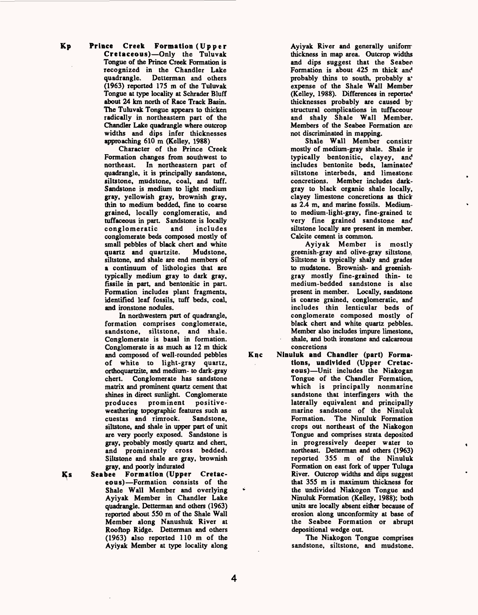Kp Prince Creek Formation (Upper Cretaceous)-Only the Tuluvak Tongue of the Prince Creek Formation is recognized in the Chandler Lake<br>quadrangle. Detterman and others Detterman and others (1963) reported 175 m of the Tuluvak Tongue at type locality at Schrader Bluff about 24 km north of Race Track Basin. The Tuluvak Tongue appears to thicken radically in northeastern part of the Chandler Lake quadrangle where outcrop widths and dips infer thicknesses approaching 610 m (Kelley, 1988)

Character of the Prince Creek Formation changes from southwest to<br>northeast. In northeastern part of In northeastern part of quadrangle, it is principally sandstone, siltstone, mudstone, coal, and tuff. Sandstone is medium to light medium gray, yellowish gray, brownish gray, thin to medium bedded, fine to coarse grained, locally conglomeratic, and tuffaceous in part. Sandstone is locally<br>conglomeratic and includes conglomeratic and includes conglomerate beds composed mostly of small pebbles of black chert and white<br>quartz and quartzite. Mudstone. quartz and quartzite. siltstone, and shale are end members of a continuum of lithologies that are typically medium gray to dark gray, fissile in part, and bentonitic in part. Formation includes plant fragments, identified leaf fossils, tuff beds, coal, and ironstone nodules.

In northwestern part of quadrangle, formation comprises conglomerate, sandstone, siltstone, and shale. Conglomerate is basal in formation. Conglomerate is as much as 12 m thick and composed of well-rounded pebbles of white to light-gray quartz, orthoquartzite, and medium- to dark-gray chert. Conglomerate has sandstone matrix and prominent quartz cement that shines in direct sunlight. Conglomerate produces prominent positiveweathering topographic features such as cuestas and rimrock. Sandstone, siltstone, and shale in upper part of unit are very poorly exposed. Sandstone is gray, probably mostly quartz and chert, and prominently cross bedded. Siltstone and shale are gray, brownish gray, and poorly indurated

Ks Seabee Formation (Upper Cretaceous)-Formation consists of the Shale Wall Member and overlying Ayiyak Member in Chandler Lake quadrangle. Detterman and others (1963) reported about 550 m of the Shale Wall Member along Nanushuk River at Rooftop Ridge. Detterman and others (1963) also reported 110 m of the Ayiyak Member at type locality along

Ayiyak River and generally uniform thickness in map area. Outcrop widths and dips suggest that the Seabee Formation is about 425 m thick and probably thins to south, probably a\* expense of the Shale Wall Member (Kelley, 1988). Differences in reported thicknesses probably are caused by structural complications in tuffaceour and shaly Shale Wall Member. Members of the Seabee Formation are not discriminated in mapping.

Shale Wall Member consists mostly of medium-gray shale. Shale *if*  typically bentonitic, clayey, and includes bentonite beds, laminated siltstone interbeds, and limestone concretions. Member includes darkgray to black organic shale locally, clayey limestone concretions as thick as 2.4 m, and marine fossils. Mediumto medium-light-gray, fine-grained to very fine grained sandstone and siltstone locally are present in member. Calcite cement is common.

Ayiyak Member is mostly greenish-gray and olive-gray siltstone. Siltstone is typically shaly and grades to mudstone. Brownish- and greenishgray mostly fine-grained thin- to medium-bedded sandstone is also present in member. Locally, sandstone is coarse grained, conglomeratic, and includes thin lenticular beds of conglomerate composed mostly of black chert and white quartz pebbles. Member also includes impure limestone, shale, and both ironstone and calcareous concretions

Ninuluk and Chandler (part) Formations, undivided (Upper Cretaceous)—Unit includes the Niakogan Tongue of the Chandler Formation, which is principally nonmarine sandstone that interfingers with the laterally equivalent and principally marine sandstone of the Ninuluk Formation. The Ninuluk Formation crops out northeast of the Niakogon Tongue and comprises strata deposited in progressively deeper water to northeast. Detterman and others (1963) reported 355 m of the Ninuluk Formation on east fork of upper Tuluga River. Outcrop widths and dips suggest that 355 m is maximum thickness for the undivided Niakogon Tongue and Ninuluk Formation (Kelley, 1988); both units are locally absent either because of erosion along unconformity at base of the Seabee Formation or abrupt depositional wedge out.

The Niakogon Tongue comprises sandstone, siltstone, and mudstone.

Knc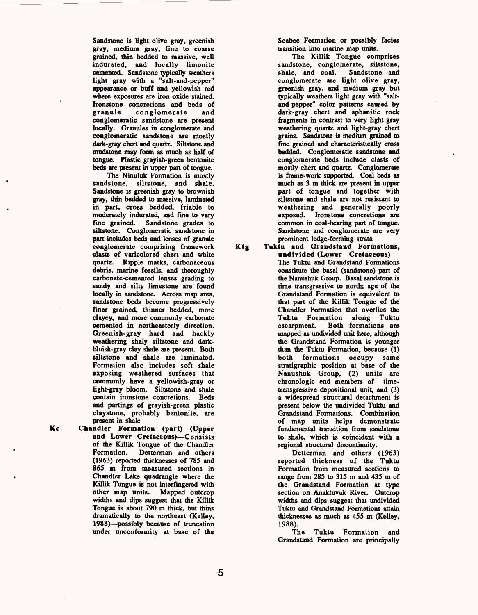Sandstone is light olive gray, greenish gray, medium gray, fine to coarse grained, thin bedded to massive, well indurated, and locally limonite cemented. Sandstone typically weathers light gray with a "salt-and-pepper" appearance or buff and yellowish red where exposures are iron oxide stained. Ironstone concretions and beds of<br>granule conglomerate and conglomerate and conglomeratic sandstone are present locally. Granules in conglomerate and conglomeratic sandstone are mostly dark-gray chert and quartz. Siltstone and mudstone may form as much as half of tongue. Plastic grayish-green bentonite beds are present in upper part of tongue.

The Ninuluk Formation is mostly sandstone, siltstone, and shale. Sandstone is greenish gray to brownish gray, thin bedded to massive, laminated in part, cross bedded, friable to moderately indurated, and fine to very fine grained. Sandstone grades to siltstone. Conglomeratic sandstone in part includes beds and lenses of granule conglomerate comprising framework clasts of varicolored chert and white quartz. Ripple marks, carbonaceous debris, marine fossils, and thoroughly carbonate-cemented lenses grading to sandy and silty limestone are found locally in sandstone. Across map area, sandstone beds become progressively finer grained, thinner bedded, more clayey, and more commonly carbonate cemented in northeasterly direction. Greenish-gray hard and hackly weathering shaly siltstone and darkbluish-gray clay shale are present. Both siltstone and shale are laminated. Formation also includes soft shale exposing weathered surfaces that commonly have a yellowish-gray or light-gray bloom. Siltstone and shale contain ironstone concretions. Beds and partings of grayish-green plastic claystone, probably bentonite, are present in shale

**Kc** Chandler Formation (part) (Upper and Lower Cretaceous)-Consists of the Killik Tongue of the Chandler Formation. Detterman and others (1963) reported thicknesses of 785 and 865 m from measured sections in Chandler Lake quadrangle where the Killik Tongue is not interfingered with other map units. Mapped outcrop widths and dips suggest that the Killik Tongue is about 790 m thick, but thins dramatically to the northeast (Kelley, 1988) possibly because of truncation under unconformity at base of the

Seabee Formation or possibly facies transition into marine map units.

The Killik Tongue comprises sandstone, conglomerate, siltstone, shale, and coal. Sandstone and conglomerate are light olive gray, greenish gray, and medium gray but typically weathers light gray with "saltand-pepper" color patterns caused by dark-gray chert and aphanitic rock fragments in contrast to very light gray weathering quartz and light-gray chert grains. Sandstone is medium grained to fine grained and characteristically cross bedded. Conglomeratic sandstone and conglomerate beds include clasts of mostly chert and quartz. Conglomerate is frame-work supported. Coal beds as much as 3 m thick are present in upper part of tongue and together with siltstone and shale are not resistant to weathering and generally poorly exposed. Ironstone concretions are common in coal-bearing part of tongue. Sandstone and conglomerate are very prominent ledge-forming strata

Ktg Tuktu and Grandstand Formations, undivided (Lower Cretaceous) The Tuktu and Grandstand Formations constitute the basal (sandstone) part of the Nanushuk Group. Basal sandstone is time transgressive to north; age of the Grandstand Formation is equivalent to that part of the Killik Tongue of the Chandler Formation that overlies the Tuktu Formation along Tuktu Both formations are mapped as undivided unit here, although the Grandstand Formation is younger than the Tuktu Formation, because (1) both formations occupy same stratigraphic position at base of the Nanushuk Group, (2) units are chronologic end members of timetransgressive depositional unit, and (3) a widespread structural detachment is present below the undivided Tuktu and Grandstand Formations. Combination of map units helps demonstrate fundamental transition from sandstone to shale, which is coincident with a regional structural discontinuity.

Detterman and others (1963) reported thickness of the Tuktu Formation from measured sections to range from 285 to 315 m and 435 m of the Grandstand Formation at type section on Anaktuvuk River. Outcrop widths and dips suggest that undivided Tuktu and Grandstand Formations attain thicknesses as much as 455 m (Kelley, 1988).

The Tuktu Formation and Grandstand Formation are principally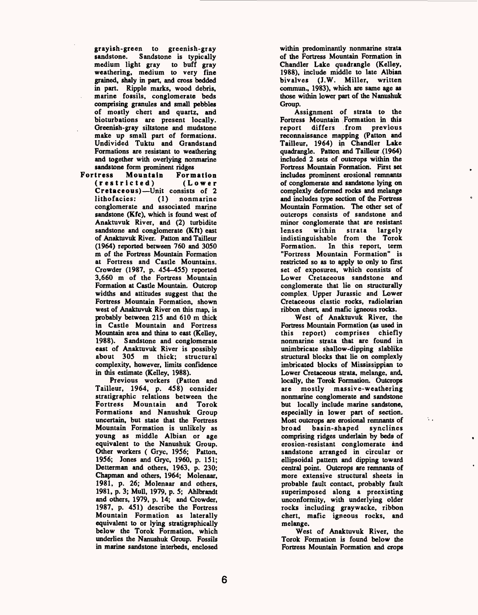grayish-green to greenish-gray sandstone. Sandstone is typically medium light gray to buff gray weathering, medium to very fine grained, shaly in part, and cross bedded in part. Ripple marks, wood debris, marine fossils, conglomerate beds comprising granules and small pebbles of mostly chert and quartz, and bioturbations are present locally. Greenish-gray siltstone and mudstone make up small part of formations. Undivided Tuktu and Grandstand Formations are resistant to weathering and together with overlying nonmarine

sandstone form prominent ridges<br>Fortress Mountain Form **Mountain Formation**<br>icted) (Lower (restricted) **Cretaceous)** - Unit consists of 2<br>lithofacies: (1) nonmarine lithofacies: conglomerate and associated marine sandstone (Kfc), which is found west of Anaktuvuk River, and (2) turbidite sandstone and conglomerate (Kft) east of Anaktuvuk River. Patton and Tailleur (1964) reported between 760 and 3050 m of the Fortress Mountain Formation at Fortress and Castle Mountains. Crowder (1987, p. 454-455) reported 3,660 m of the Fortress Mountain Formation at Castle Mountain. Outcrop widths and attitudes suggest that the Fortress Mountain Formation, shown west of Anaktuvuk River on this map, is probably between 215 and 610 m thick in Castle Mountain and Fortress Mountain area and thins to east (Kelley, 1988). Sandstone and conglomerate east of Anaktuvuk River is possibly about 305 m thick; structural complexity, however, limits confidence in this estimate (Kelley, 1988).

Previous workers (Patton and Tailleur, 1964, p. 458) consider stratigraphic relations between the Fortress Mountain and Torok Formations and Nanushuk Group uncertain, but state that the Fortress Mountain Formation is unlikely as young as middle Albian or age equivalent to the Nanushuk Group. Other workers ( Gryc, 1956; Patton, 1956; Jones and Gryc, 1960, p. 151; Detterman and others, 1963, p. 230; Chapman and others, 1964; Molenaar, 1981, p. 26; Molenaar and others, 1981, p. 3; Mull, 1979, p. 5; Ahlbrandt and others, 1979, p. 14; and Crowder, 1987, p. 451) describe the Fortress Mountain Formation as laterally equivalent to or lying stratigraphically below the Torok Formation, which underlies the Nanushuk Group. Fossils in marine sandstone interbeds, enclosed

within predominantly nonmarine strata of the Fortress Mountain Formation in Chandler Lake quadrangle (Kelley, 1988), include middle to late Albian bivalves (J.W. Miller, written commun., 1983), which are same age as those within lower part of the Nanushuk Group.

Assignment of strata to the Fortress Mountain Formation in this report differs from previous reconnaissance mapping (Patton and Tailleur, 1964) in Chandler Lake quadrangle. Patton and Tailleur (1964) included 2 sets of outcrops within the Fortress Mountain Formation. First set includes prominent erosional remnants of conglomerate and sandstone lying on complexly deformed rocks and melange and includes type section of the Fortress Mountain Formation. The other set of outcrops consists of sandstone and minor conglomerate that are resistant lenses within strata largely indistinguishable from the Torok<br>Formation. In this report, term In this report, term "Fortress Mountain Formation" is restricted so as to apply to only to first set of exposures, which consists of Lower Cretaceous sandstone and conglomerate that lie on structurally complex. Upper Jurassic and Lower Cretaceous clastic rocks, radiolarian ribbon chert, and mafic igneous rocks.

West of Anaktuvuk River, the Fortress Mountain Formation (as used in this report) comprises chiefly nonmarine strata that are found in unimbricate shallow-dipping slablike structural blocks that lie on complexly imbricated blocks of Mississippian to Lower Cretaceous strata, melange, and, locally, the Torok Formation. Outcrops are mostly massive-weathering nonmarine conglomerate and sandstone but locally include marine sandstone, especially in lower part of section. Most outcrops are erosional remnants of broad basin-shaped synclines comprising ridges underlain by beds of erosion-resistant conglomerate and sandstone arranged in circular or ellipsoidal pattern and dipping toward central point. Outcrops are remnants of more extensive structural sheets in probable fault contact, probably fault superimposed along a preexisting unconformity, with underlying older rocks including graywacke, ribbon chert, mafic igneous rocks, and melange.

 $\sim$   $\,$ 

West of Anaktuvuk River, the Torok Formation is found below the Fortress Mountain Formation and crops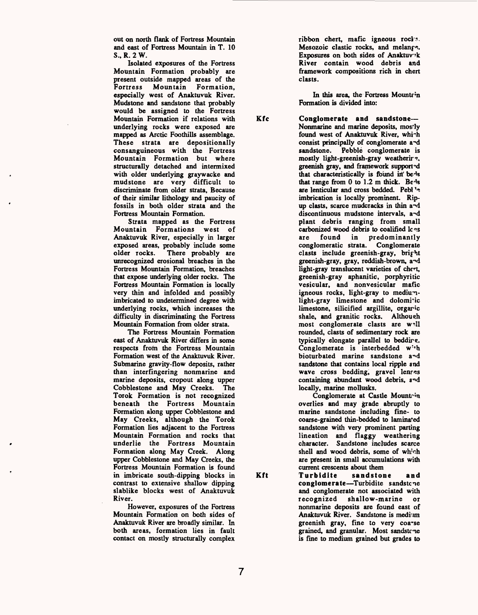out on north flank of Fortress Mountain and east of Fortress Mountain in T. 10 S., R. 2 W.

Isolated exposures of the Fortress Mountain Formation probably are present outside mapped areas of the Fortress Mountain Formation, especially west of Anaktuvuk River. Mudstone and sandstone that probably would be assigned to the Fortress Mountain Formation if relations with **Kfc**  underlying rocks were exposed are mapped as Arctic Foothills assemblage. These strata are depositionally consanguineous with the Fortress Mountain Formation but where structurally detached and intermixed with older underlying graywacke and mudstone are very difficult to discriminate from older strata, Because of their similar lithology and paucity of fossils in both older strata and the Fortress Mountain Formation.

Strata mapped as the Fortress Mountain Formations west of Anaktuvuk River, especially in larger exposed areas, probably include some older rocks. There probably are unrecognized erosional breaches in the Fortress Mountain Formation, breaches that expose underlying older rocks. The Fortress Mountain Formation is locally very thin and infolded and possibly imbricated to undetermined degree with underlying rocks, which increases the difficulty in discriminating the Fortress Mountain Formation from older strata.

The Fortress Mountain Formation east of Anaktuvuk River differs in some respects from the Fortress Mountain Formation west of the Anaktuvuk River. Submarine gravity-flow deposits, rather than interfingering nonmarine and marine deposits, cropout along upper Cobblestone and May Creeks. The Torok Formation is not recognized beneath the Fortress Mountain Formation along upper Cobblestone and May Creeks, although the Torok Formation lies adjacent to the Fortress Mountain Formation and rocks that underlie the Fortress Mountain Formation along May Creek. Along upper Cobblestone and May Creeks, the Fortress Mountain Formation is found in imbricate south-dipping blocks in **Kft**  contrast to extensive shallow dipping slablike blocks west of Anaktuvuk River.

However, exposures of the Fortress Mountain Formation on both sides of Anaktuvuk River are broadly similar. In both areas, formation lies in fault contact on mostly structurally complex

ribbon chert, mafic igneous rocl's. Mesozoic clastic rocks, and melanf<sup>\*</sup>. Exposures on both sides of Anaktuvuk River contain wood debris and framework compositions rich in chert clasts.

In this area, the Fortress Mountrin Formation is divided into:

**Conglomerate and sandstone**  Nonmarine and marine deposits, mostly found west of Anaktuvuk River, whi~h consist principally of conglomerate a~d sandstone. Pebble conglomerate is mostly light-greenish-gray weathering. greenish gray, and framework supported that characteristically is found in beds that range from  $0$  to  $1.2$  m thick. Beds are lenticular and cross bedded. Pebl 's imbrication is locally prominent. Ripup clasts, scarce mudcracks in thin a^d discontinuous mudstone intervals, a~d plant debris ranging from small carbonized wood debris to coalified loss are found in predominantly conglomeratic strata. Conglomerate clasts include greenish-gray, bright greenish-gray, gray, reddish-brown, a"d light-gray translucent varieties of chert, greenish-gray aphanitic, porphyritic vesicular, and nonvesicular mafic igneous rocks, light-gray to mediumlight-gray limestone and dolomi'ic limestone, silicified argillite, organic shale, and granitic rocks. Although most conglomerate clasts are well rounded, clasts of sedimentary rock are typically elongate parallel to beddir?. Conglomerate is interbedded with bioturbated marine sandstone and sandstone that contains local ripple and wave cross bedding, gravel lenres containing abundant wood debris, a^d locally, marine mollusks.

Conglomerate at Castle Mountrin overlies and may grade abruptly to marine sandstone including fine- to coarse-grained thin-bedded to laminated sandstone with very prominent parting lineation and flaggy weathering character. Sandstone includes scarce shell and wood debris, some of which are present in small accumulations with

current crescents about them<br>Turbidite sandstone **Turbldite sandstone and conglomerate** Turbidite sandstcne and conglomerate not associated with recognized shallow-marine or nonmarine deposits are found east of Anaktuvuk River. Sandstone is medium greenish gray, fine to very coarse grained, and granular. Most sandstone is fine to medium grained but grades to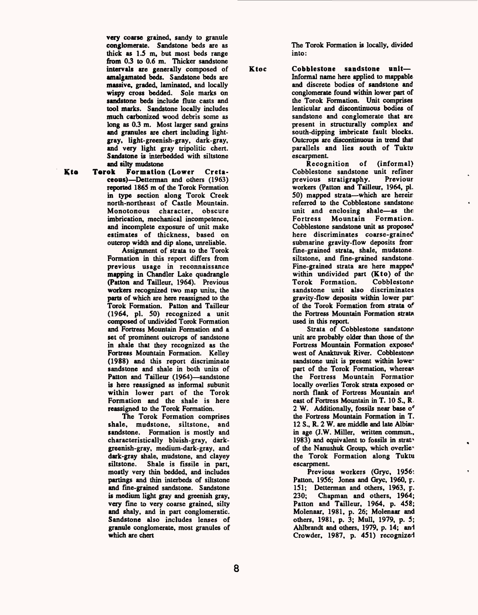very coarse grained, sandy to granule conglomerate. Sandstone beds are as thick as 1.5 m, but most beds range from 0.3 to 0.6 m. Thicker sandstone intervals are generally composed of amalgamated beds. Sandstone beds are massive, graded, laminated, and locally wispy cross bedded. Sole marks on sandstone beds include flute casts and tool marks. Sandstone locally includes much carbonized wood debris some as long as 0.3 m. Most larger sand grains and granules are chert including lightgray, light-greenish-gray, dark-gray, and very light gray tripolitic chert. Sandstone is interbedded with siltstone and silty mudstone

Kto Torok Formation (Lower Cretaceous) Detterman and others (1963) reported 186S m of the Torok Formation in type section along Torok Creek north-northeast of Castle Mountain. Monotonous character, obscure imbrication, mechanical incompetence, and incomplete exposure of unit make estimates of thickness, based on outcrop width and dip alone, unreliable.

Assignment of strata to the Torok Formation in this report differs from previous usage in reconnaissance mapping in Chandler Lake quadrangle (Fatten and Tailleur, 1964). Previous workers recognized two map units, the parts of which are here reassigned to the Torok Formation. Patton and Tailleur (1964, pi. 50) recognized a unit composed of undivided Torok Formation and Fortress Mountain Formation and a set of prominent outcrops of sandstone in shale that they recognized as the Fortress Mountain Formation. Kelley (1988) and this report discriminate sandstone and shale in both units of Patton and Tailleur (1964)—sandstone is here reassigned as informal subunit within lower part of the Torok Formation and the shale is here reassigned to the Torok Formation.

The Torok Formation comprises shale, mudstone, siltstone, and sandstone. Formation is mostly and characteristically bluish-gray, darkgreenish-gray, medium-dark-gray, and dark-gray shale, mudstone, and clayey siltstone. Shale is fissile in part, mostly very thin bedded, and includes partings and thin interbeds of siltstone and fine-grained sandstone. Sandstone is medium light gray and greenish gray, very fine to very coarse grained, silty and shaly, and in part conglomeratic. Sandstone also includes lenses of granule conglomerate, most granules of which are chert

The Torok Formation is locally, divided into:

Ktoc Cobblestone sandstone unit-Informal name here applied to mappable and discrete bodies of sandstone and conglomerate found within lower part of the Torok Formation. Unit comprises lenticular and discontinuous bodies of sandstone and conglomerate that are present in structurally complex and south-dipping imbricate fault blocks. Outcrops are discontinuous in trend that parallels and lies south of Tuktv escarpment.

Recognition of (informal) Cobblestone sandstone unit refiner previous stratigraphy. Previous workers (Patton and Tailleur, 1964, pi. 50) mapped strata—which are herein referred to the Cobblestone sandstone unit and enclosing shale-as the Fortress Mountain Formation. Cobblestone sandstone unit as proposed here discriminates coarse-grained submarine gravity-flow deposits from fine-grained strata, shale, mudstone siltstone, and fine-grained sandstone. Fine-grained strata are here mapped within undivided part (Kto) of the<br>Torok Formation Cobblestone Torok Formation. sandstone unit also discriminates gravity-flow deposits within lower part of the Torok Formation from strata of the Fortress Mountain Formation strata used in this report.

Strata of Cobblestone sandstone unit are probably older than those of the Fortress Mountain Formation exposed west of Anaktuvuk River. Cobblestone sandstone unit is present within lower part of the Torok Formation, whereas the Fortress Mountain Formatior locally overlies Torok strata exposed or north flank of Fortress Mountain and east of Fortress Mountain in T. 10 S., R 2 W. Additionally, fossils near base of the Fortress Mountain Formation in T. 12 S., R. 2 W. are middle and late Albiar in age (J.W. Miller, written commun.,  $1983$ ) and equivalent to fossils in strata of the Nanushuk Group, which overlie" the Torok Formation along Tuktu escarpment.

Previous workers (Gryc, 1956; Patton, 1956; Jones and Gryc, 1960, p. 151; Detterman and others, 1963, p. 230; Chapman and others, 1964; Patton and Tailleur, 1964, p. 458; Molenaar, 1981, p. 26; Molenaar and others, 1981, p. 3; Mull, 1979, p. 5; Ahlbrandt and others, 1979, p. 14; and Crowder, 1987, p. 451) recognized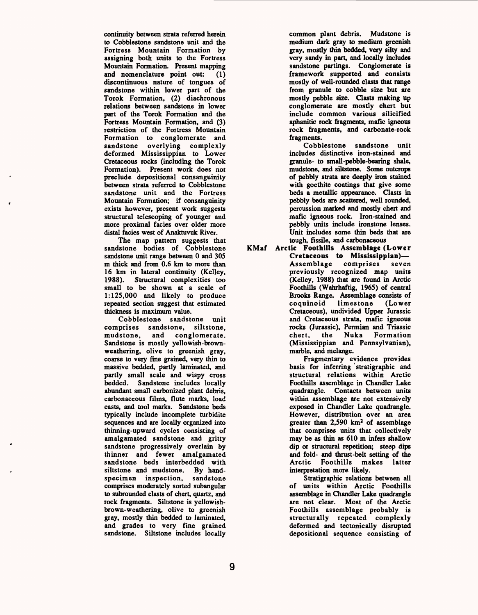continuity between strata referred herein to Cobblestone sandstone unit and the Fortress Mountain Formation by assigning both units to the Fortress Mountain Formation. Present mapping and nomenclature point out: (1) discontinuous nature of tongues of sandstone within lower part of the Torok Formation, (2) diachronous relations between sandstone in lower part of the Torok Formation and the Fortress Mountain Formation, and (3) restriction of the Fortress Mountain Formation to conglomerate and sandstone overlying complexly deformed Mississippian to Lower Cretaceous rocks (including the Torok Formation). Present work does not preclude depositional consanguinity between strata referred to Cobblestone sandstone unit and the Fortress Mountain Formation; if consanguinity exists however, present work suggests structural telescoping of younger and more proximal facies over older more distal facies west of Anaktuvuk River.

The map pattern suggests that sandstone bodies of Cobblestone sandstone unit range between 0 and 305 m thick and from 0.6 km to more than 16 km in lateral continuity (Kelley, 1988). Structural complexities too small to be shown at a scale of 1:125,000 and likely to produce repeated section suggest that estimated thickness is maximum value.

Cobblestone sandstone unit comprises sandstone, siltstone, mudstone, and conglomerate. Sandstone is mostly yellowish-brownweathering, olive to greenish gray, coarse to very fine grained, very thin to massive bedded, partly laminated, and partly small scale and wispy cross bedded. Sandstone includes locally abundant small carbonized plant debris, carbonaceous films, flute marks, load casts, and tool marks. Sandstone beds typically include incomplete turbidite sequences and are locally organized into thinning-upward cycles consisting of amalgamated sandstone and gritty sandstone progressively overlain by thinner and fewer amalgamated sandstone beds interbedded with siltstone and mudstone. By handspecimen inspection, sandstone comprises moderately sorted subangular to subrounded clasts of chert, quartz, and rock fragments. Siltstone is yellowishbrown-weathering, olive to greenish gray, mostly thin bedded to laminated, and grades to very fine grained sandstone. Siltstone includes locally

common plant debris. Mudstone is medium dark gray to medium greenish gray, mostly thin bedded, very silty and very sandy in part, and locally includes sandstone partings. Conglomerate is framework supported and consists mostly of well-rounded clasts that range from granule to cobble size but are mostly pebble size. Clasts making up conglomerate are mostly chert but include common various silicified aphanitic rock fragments, mafic igneous rock fragments, and carbonate-rock fragments.

Cobblestone sandstone unit includes distinctive iron-stained and granule- to small-pebble-bearing shale, mudstone, and siltstone. Some outcrops of pebbly strata are deeply iron stained with goethite coatings that give some beds a metallic appearance. Clasts in pebbly beds are scattered, well rounded, percussion marked and mostly chert and mafic igneous rock. Iron-stained and pebbly units include ironstone lenses. Unit includes some thin beds that are tough, fissile, and carbonaceous

KMaf Arctic Foothills Assemblage (Lower Cretaceous to Mississippian) Assemblage comprises seven previously recognized map units (Kelley, 1988) that are found in Arctic Foothills (Wahrhaftig, 1965) of central Brooks Range. Assemblage consists of coquinoid limestone (Lower Cretaceous), undivided Upper Jurassic and Cretaceous strata, mafic igneous rocks (Jurassic), Permian and Triassic chert, the Nuka Formation (Mississippian and Pennsylvanian), marble, and melange.

Fragmentary evidence provides basis for inferring stratigraphic and structural relations within Arctic Foothills assemblage in Chandler Lake quadrangle. Contacts between units within assemblage are not extensively exposed in Chandler Lake quadrangle. However, distribution over an area greater than 2,590 km2 of assemblage that comprises units that collectively may be as thin as 610 m infers shallow dip or structural repetition; steep dips and fold- and thrust-belt setting of the Arctic Foothills makes latter interpretation more likely.

Stratigraphic relations between all of units within Arctic Foothills assemblage in Chandler Lake quadrangle are not clear. Most of the Arctic Foothills assemblage probably is structurally repeated complexly deformed and tectonically disrupted depositional sequence consisting of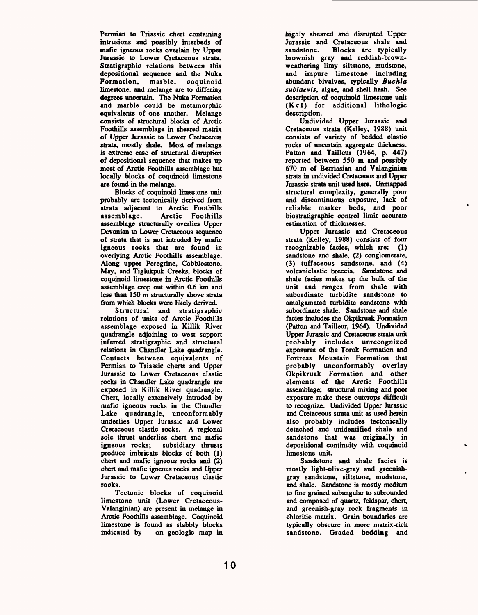Permian to Triassic chert containing intrusions and possibly interbeds of mafic igneous rocks overlain by Upper Jurassic to Lower Cretaceous strata. Stratigraphic relations between this depositional sequence and the Nuka Formation, marble, coquinoid limestone, and melange are to differing degrees uncertain. The Nuka Formation and marble could be metamorphic equivalents of one another. Melange consists of structural blocks of Arctic Foothills assemblage in sheared matrix of Upper Jurassic to Lower Cretaceous strata, mostly shale. Most of melange is extreme case of structural disruption of depositional sequence that makes up most of Arctic Foothills assemblage but locally blocks of coquinoid limestone are found in the melange.

Blocks of coquinoid limestone unit probably are tectonically derived from strata adjacent to Arctic Foothills<br>assemblage. Arctic Foothills Arctic Foothills assemblage structurally overlies Upper Devonian to Lower Cretaceous sequence of strata that is not intruded by mafic igneous rocks that are found in overlying Arctic Foothills assemblage. Along upper Peregrine, Cobblestone, May, and Tiglukpuk Creeks, blocks of coquinoid limestone in Arctic Foothills assemblage crop out within 0.6 km and less than 150 m structurally above strata from which blocks were likely derived.

Structural and stratigraphic relations of units of Arctic Foothills assemblage exposed in Killik River quadrangle adjoining to west support inferred Stratigraphic and structural relations in Chandler Lake quadrangle. Contacts between equivalents of Permian to Triassic cherts and Upper Jurassic to Lower Cretaceous clastic rocks in Chandler Lake quadrangle are exposed in Killik River quadrangle. Chert, locally extensively intruded by mafic igneous rocks in the Chandler Lake quadrangle, unconformably underlies Upper Jurassic and Lower Cretaceous clastic rocks. A regional sole thrust underlies chert and mafic<br>igneous rocks; subsidiary thrusts subsidiary thrusts produce imbricate blocks of both (1) chert and mafic igneous rocks and (2) chert and mafic igneous rocks and Upper Jurassic to Lower Cretaceous clastic rocks.

Tectonic blocks of coquinoid limestone unit (Lower Cretaceous-Valanginian) are present in melange in Arctic Foothills assemblage. Coquinoid limestone is found as slabbly blocks<br>indicated by on geologic map in on geologic map in highly sheared and disrupted Upper Jurassic and Cretaceous shale and sandstone. Blocks are typically brownish gray and reddish-brownweathering limy siltstone, mudstone, and impure limestone including abundant bivalves, typically *Buchia sublaevis,* algae, and shell hash. See description of coquinoid limestone unit  $(Kc)$  for additional lithologic description.

Undivided Upper Jurassic and Cretaceous strata (Kelley, 1988) unit consists of variety of bedded clastic rocks of uncertain aggregate thickness. Patton and Tailleur (1964, p. 447) reported between 550 m and possibly 670 m of Berriasian and Valanginian strata in undivided Cretaceous and Upper Jurassic strata unit used here. Unmapped structural complexity, generally poor and discontinuous exposure, lack of reliable marker beds, and poor biostratigraphic control limit accurate estimation of thicknesses.

Upper Jurassic and Cretaceous strata (Kelley, 1988) consists of four recognizable facies, which are: (1) sandstone and shale, (2) conglomerate, (3) tuffaceous sandstone, and (4) volcaniclastic breccia. Sandstone and shale facies makes up the bulk of the unit and ranges from shale with subordinate turbidite sandstone to amalgamated turbidite sandstone with subordinate shale. Sandstone and shale facies includes the Okpikruak Formation (Patton and Tailleur, 1964). Undivided Upper Jurassic and Cretaceous strata unit probably includes unrecognized exposures of the Torok Formation and Fortress Mountain Formation that probably unconformably overlay Okpikruak Formation and other elements of the Arctic Foothills assemblage; structural mixing and poor exposure make these outcrops difficult to recognize. Undivided Upper Jurassic and Cretaceous strata unit as used herein also probably includes tectonically detached and unidentified shale and sandstone that was originally in depositional continuity with coquinoid limestone unit.

Sandstone and shale facies is mostly light-olive-gray and greenishgray sandstone, siltstone, mudstone, and shale. Sandstone is mostly medium to fine grained subangular to subrounded and composed of quartz, feldspar, chert, and greenish-gray rock fragments in chloritic matrix. Grain boundaries are typically obscure in more matrix-rich sandstone. Graded bedding and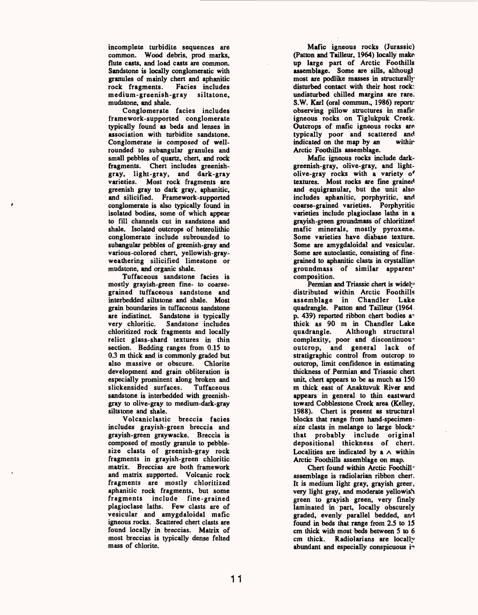incomplete turbidite sequences are common. Wood debris, prod marks, flute casts, and load casts are common. Sandstone is locally conglomeratic with granules of mainly chert and aphanitic rock fragments. medium-greenish-gray siltstone, mudstone, and shale.

Conglomerate facies includes framework-supported conglomerate typically found as beds and lenses in association with turbidite sandstone. Conglomerate is composed of wellrounded to subangular granules and small pebbles of quartz, chert, and rock fragments. Chert includes greenishgray, light-gray, and dark-gray varieties. Most rock fragments are greenish gray to dark gray, aphanitic, and silicified. Framework-supported conglomerate is also typically found in isolated bodies, some of which appear to fill channels cut in sandstone and shale. Isolated outcrops of heterolithic conglomerate include subrounded to subangular pebbles of greenish-gray and various-colored chert, yellowish-grayweathering silicified limestone or mudstone, and organic shale.

Tuffaceous sandstone facies is mostly grayish-green fine- to coarsegrained tuffaceous sandstone and interbedded siltstone and shale. Most grain boundaries in tuffaceous sandstone are indistinct. Sandstone is typically very chloritic. Sandstone includes chloritized rock fragments and locally relict glass-shard textures in thin section. Bedding ranges from 0.15 to 0.3 m thick and is commonly graded but also massive or obscure. Chlorite development and grain obliteration is especially prominent along broken and slickensided surfaces. Tuffaceous sandstone is interbedded with greenishgray to olive-gray to medium-dark-gray siltstone and shale.

Volcaniclastic breccia facies includes grayish-green breccia and grayish-green graywacke. Breccia is composed of mostly granule to pebblesize clasts of greenish-gray rock fragments in grayish-green chloritic matrix. Breccias are both framework and matrix supported. Volcanic rock fragments are mostly chloritized aphanitic rock fragments, but some fragments include fine-grained plagioclase laths. Few clasts are of vesicular and amygdaloidal mafic igneous rocks. Scattered chert clasts are found locally in breccias. Matrix of most breccias is typically dense felted mass of chlorite.

Mafic igneous rocks (Jurassic) (Patton and Tailleur, 1964) locally make up large part of Arctic Foothills assemblage. Some are sills, althougl most are podlike masses in structurally disturbed contact with their host rock: undisturbed chilled margins are rare. S.W. Karl (oral commun., 1986) reportr observing pillow structures in mafic igneous rocks on Tiglukpuk Creek, Outcrops of mafic igneous rocks are typically poor and scattered and<br>indicated on the map by an within indicated on the map by an Arctic Foothills assemblage.

Mafic igneous rocks include darkgreenish-gray, olive-gray, and lightolive-gray rocks with a variety of textures. Most rocks are fine grained and equigranular, but the unit also includes aphanitic, porphyritic, and coarse-grained varieties. Porphyritic varieties include plagioclase laths in a grayish-green groundmass of chloritized mafic minerals, mostly pyroxene. Some varieties have diabase texture. Some are amygdaloidal and vesicular. Some are autoclastic, consisting of finegrained to aphanitic clasts in crystalline groundmass of similar apparen\* composition.

Permian and Triassic chert is widely distributed within Arctic Foothills assemblage in Chandler Lake quadrangle. Patton and Tailleur (1964, p. 439) reported ribbon chert bodies av thick as 90 m in Chandler Lake Although structural complexity, poor and discontinuous outcrop, and general lack of stratigraphic control from outcrop to outcrop, limit confidence in estimating thickness of Permian and Triassic chert unit, chert appears to be as much as 150 m thick east of Anaktuvuk River and appears in general to thin eastward toward Cobblestone Creek area (Kelley, 1988). Chert is present as structural blocks that range from hand-specimensize clasts in melange to large block<sup>-</sup> that probably include original depositional thickness of chert. Localities are indicated by a  $\wedge$  within Arctic Foothills assemblage on map.

Chert found within Arctic Foothill<sup>-</sup> assemblage is radiolarian ribbon chert. It is medium light gray, grayish green, very light gray, and moderate yellowish green to grayish green, very finely laminated in part, locally obscurely graded, evenly parallel bedded, and found in beds that range from 2.5 to 15 cm thick with most beds between 5 to 6 cm thick. Radiolarians are locally abundant and especially conspicuous in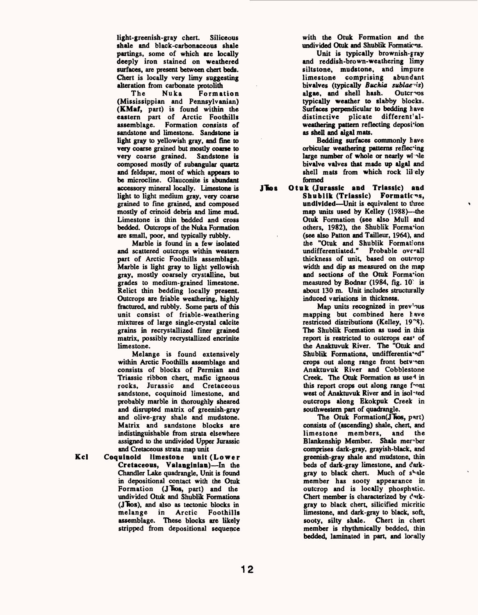light-greenish-gray chert. Siliceous shale and black-carbonaceous shale partings, some of which are locally deeply iron stained on weathered surfaces, are present between chert beds. Chert is locally very limy suggesting alteration from carbonate protolith

The Nuka Formation (Mississippian and Pennsylvanian) (KMaf, part) is found within the eastern part of Arctic Foothills assemblage. Formation consists of sandstone and limestone. Sandstone is light gray to yellowish gray, and fine to very coarse grained but mostly coarse to very coarse grained. Sandstone is composed mostly of subangular quartz and feldspar, most of which appears to be microcline. Glauconite is abundant accessory mineral locally. Limestone is light to light medium gray, very coarse grained to fine grained, and composed mostly of crinoid debris and lime mud. Limestone is thin bedded and cross bedded. Outcrops of the Nuka Formation are small, poor, and typically rubbly.

Marble is found in a few isolated and scattered outcrops within western part of Arctic Foothills assemblage. Marble is light gray to light yellowish gray, mostly coarsely crystalline, but grades to medium-grained limestone. Relict thin bedding locally present. Outcrops are friable weathering, highly fractured, and rubbly. Some parts of this unit consist of friable-weathering mixtures of large single-crystal calcite grains in recrystallized finer grained matrix, possibly recrystallized encrinite limestone.

Melange is found extensively within Arctic Foothills assemblage and consists of blocks of Permian and Triassic ribbon chert, mafic igneous rocks, Jurassic and Cretaceous sandstone, coquinoid limestone, and probably marble in thoroughly sheared and disrupted matrix of greenish-gray and olive-gray shale and mudstone. Matrix and sandstone blocks are indistinguishable from strata elsewhere assigned to the undivided Upper Jurassic and Cretaceous strata map unit

**Kcl** Coquinoid limestone unit (Lower Cretaceous, Valanginian)-In the Chandler Lake quadrangle, Unit is found in depositional contact with the Otuk Formation (J Fos, part) and the undivided Otuk and Shublik Formations (J hos), and also as tectonic blocks in melange in Arctic Foothills assemblage. These blocks are likely stripped from depositional sequence

with the Otuk Formation and the undivided Otuk and Shublik Formations.

Unit is typically brownish-gray and reddish-brown-weathering limy siltstone, mudstone, and impure limestone comprising abundant bivalves (typically *Buchia sublae'is)*  algae, and shell hash. typically weather to slabby blocks. Surfaces perpendicular to bedding have distinctive plicate different'alweathering pattern reflecting deposition as shell and algal mats.

Bedding surfaces commonly have orbicular weathering patterns reflecting large number of whole or nearly whe bivalve valves that made up algal and shell mats from which rock lil ely formed

JTos Otuk (Jurassic and Triassic) and Shublik (Triassic) Formations, undivided—Unit is equivalent to three map units used by Kelley (1988)—-the Otuk Formation (see also Mull and others, 1982), the Shublik Formation (see also Patton and Tailleur, 1964), and the "Otuk and Shublik Formations Probable overall thickness of unit, based on outcrop width and dip as measured on the map and sections of the Otuk Formation measured by Bodnar (1984, fig. 10 is about 130 m. Unit includes structurally induced variations in thickness.

Map units recognized in previous mapping but combined here have restricted distributions (Kelley, 19"3). The Shublik Formation as used in this report is restricted to outcrops eas\* of the Anaktuvuk River. The "Otuk and Shublik Formations, undifferentia\*ed" crops out along range front between Anaktuvuk River and Cobblestone Creek. The Otuk Formation as use<sup>-1</sup> in this report crops out along range front west of Anaktuvuk River and in isolated outcrops along Ekokpuk Creek in southwestern part of quadrangle.

The Otuk Formation(JTos, part) consists of (ascending) shale, chert, and limestone members, and the Blankenship Member. Shale member comprises dark-gray, grayish-black, and greenish-gray shale and mudstone, thin beds of dark-gray limestone, and darkgray to black chert. Much of shale member has sooty appearance in outcrop and is locally phosphatic. Chert member is characterized by  $C^{\text{R}}$ gray to black chert, silicified micritic limestone, and dark-gray to black, soft, sooty, silty shale. Chert in chert member is rhythmically bedded, thin bedded, laminated in part, and locally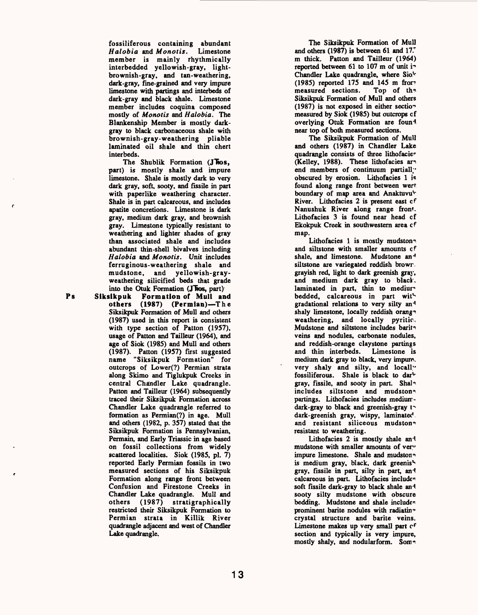fossiliferous containing abundant<br>Halobia and Monotis. Limestone *Halobia* and *Monotis*. member is mainly rhythmically interbedded yellowish-gray, lightbrownish-gray, and tan-weathering, dark-gray, fine-grained and very impure limestone with partings and interbeds of dark-gray and black shale. Limestone member includes coquina composed mostly of *Monotis* and *Halobia.* The Blankenship Member is mostly darkgray to black carbonaceous shale with brownish-gray-weathering pliable laminated oil shale and thin chert interbeds.

The Shublik Formation **(J\*fios,**  part) is mostly shale and impure limestone. Shale is mostly dark to very dark gray, soft, sooty, and fissile in part with paperlike weathering character. Shale is in part calcareous, and includes apatite concretions. Limestone is dark gray, medium dark gray, and brownish gray. Limestone typically resistant to weathering and lighter shades of gray than associated shale and includes abundant thin-shell bivalves including *Halobia* and *Monotis.* Unit includes ferruginous-weathering shale and mudstone, and yellowish-grayweathering silicified beds that grade

**Ps**

into the Otuk Formation (J**Ros**, part) **Siksikpuk Formation of Mull and**  others (1987) (Permian)-The Siksikpuk Formation of Mull and others (1987) used in this report is consistent with type section of Patton (1957), usage of Patton and Tailleur (1964), and age of Siok (1985) and Mull and others (1987). Patton (1957) first suggested name "Siksikpuk Formation" for outcrops of Lower(?) Permian strata along Skimo and Tiglukpuk Creeks in central Chandler Lake quadrangle. Patton and Tailleur (1964) subsequently traced their Siksikpuk Formation across Chandler Lake quadrangle referred to formation as Permian(?) in age. Mull and others (1982, p. 357) stated that the Siksikpuk Formation is Pennsylvanian, Permain, and Early Triassic in age based on fossil collections from widely scattered localities. Siok (1985, pi. 7) reported Early Permian fossils in two measured sections of his Siksikpuk Formation along range front between Confusion and Firestone Creeks in Chandler Lake quadrangle. Mull and others (1987) stratigraphically restricted their Siksikpuk Formation to Permian strata in Killik River quadrangle adjacent and west of Chandler Lake quadrangle.

The Siksikpuk Formation of Mull and others (1987) is between 61 and 17. m thick. Patton and Tailleur (1964) reported between 61 to 107 m of unit in Chandler Lake quadrangle, where Sio<sup>t</sup> (1985) reported 175 and 145 m from measured sections. Top of the measured sections. Siksikpuk Formation of Mull and others (1987) is not exposed in either section measured by Siok (1985) but outcrops of overlying Otuk Formation are foun<sup>1</sup> near top of both measured sections.

The Siksikpuk Formation of Mull and others (1987) in Chandler Lake quadrangle consists of three lithofacie\* (Kelley, 1988). These lithofacies ar« end members of continuum partially obscured by erosion. Lithofacies 1 is found along range front between wert boundary of map area and Anaktuvu<sup>t</sup> River. Lithofacies 2 is present east cf Nanushuk River along range front Lithofacies 3 is found near head of Ekokpuk Creek in southwestern area cf map.

Lithofacies 1 is mostly mudston and siltstone with smaller amounts cf shale, and limestone. Mudstone an<sup>-1</sup> siltstone are variegated reddish browr grayish red, light to dark greenish gray, and medium dark gray to black. laminated in part, thin to medium bedded, calcareous in part with gradational relations to very silty an<sup>4</sup> shaly limestone, locally reddish orang<sup>®</sup> weathering, and locally pyritic. Mudstone and siltstone includes barita veins and nodules, carbonate nodules, and reddish-orange claystone partings and thin interbeds. Limestone is medium dark gray to black, very impure, very shaly and silty, and locally fossiliferous. Shale is black to dar<sup>t-</sup> gray, fissile, and sooty in part. Shalo includes siltstone and mudston<sup>®</sup> partings. Lithofacies includes mediumdark-gray to black and greenish-gray f» dark-greenish gray, wispy, laminated and resistant siliceous mudston<sup>®</sup> resistant to weathering.

Lithofacies 2 is mostly shale and mudstone with smaller amounts of very impure limestone. Shale and mudston<sup>®</sup> is medium gray, black, dark greenish gray, fissile in part, silty in part, and calcareous in part. Lithofacies include<sup>®</sup> soft fissile dark-gray to black shale and sooty silty mudstone with obscure bedding. Mudstone and shale includes prominent barite nodules with radiatin $<sup>*</sup>$ </sup> crystal structure and barite veins. Limestone makes up very small part of section and typically is very impure, mostly shaly, and nodularform. Som<sup>\*</sup>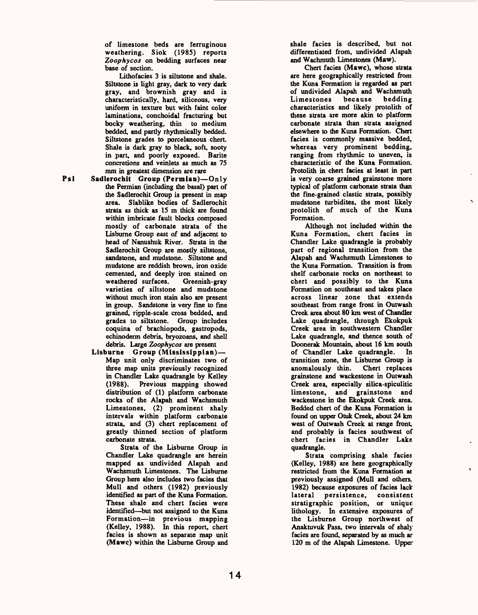of limestone beds are ferruginous weathering. Siok (1985) reports *Zoophycos* on bedding surfaces near base of section.

Lithofacies 3 is siltstone and shale. Siltstone is light gray, dark to very dark gray, and brownish gray and is characteristically, hard, siliceous, very uniform in texture but with faint color laminations, conchoidal fracturing but bocky weathering, thin to medium bedded, and partly rhythmically bedded. Siltstone grades to porcelaneous chert. Shale is dark gray to black, soft, sooty in part, and poorly exposed. Barite concretions and veinlets as much as 75 mm in greatest dimension are rare

Psl Sadlerochit Group (Permian)-Only the Permian (including the basal) part of the Sadlerochit Group is present in map area. Slablike bodies of Sadlerochit strata as thick as 15 m thick are found within imbricate fault blocks composed mostly of carbonate strata of the Lisburne Group east of and adjacent to head of Nanushuk River. Strata in the Sadlerochit Group are mostly siltstone, sandstone, and mudstone. Siltstone and mudstone are reddish brown, iron oxide cemented, and deeply iron stained on<br>weathered surfaces. Greenish-grav weathered surfaces. varieties of siltstone and mudstone without much iron stain also are present in group. Sandstone is very fine to fine grained, ripple-scale cross bedded, and grades to siltstone. Group includes coquina of brachiopods, gastropods, echinoderm debris, bryozoans, and shell debris. Large *Zoophycos* are present

**Lisburne Group (Mississippian)**  Map unit only discriminates two of three map units previously recognized in Chandler Lake quadrangle by Kelley (1988). Previous mapping showed distribution of (1) platform carbonate rocks of the Alapah and Wachsmuth Limestones, (2) prominent shaly intervals within platform carbonate strata, and (3) chert replacement of greatly thinned section of platform carbonate strata.

Strata of the Lisburne Group in Chandler Lake quadrangle are herein mapped as undivided Alapah and Wachsmuth Limestones. The Lisburne Group here also includes two facies that Mull and others (1982) previously identified as part of the Kuna Formation. These shale and chert facies were identified—but not assigned to the Kuna Formation-in previous mapping (Kelley, 1988). In this report, chert facies is shown as separate map unit (Mawc) within the Lisburne Group and shale facies is described, but not differentiated from, undivided Alapah and Wachmuth Limestones (Maw).

Chert facies (Mawc), whose strata are here geographically restricted from the Kuna Formation is regarded as part of undivided Alapah and Wachsmuth<br>Limestones because bedding Limestones characteristics and likely protolith of these strata are more akin to platform carbonate strata than strata assigned elsewhere to the Kuna Formation. Chert facies is commonly massive bedded, whereas very prominent bedding, ranging from rhythmic to uneven, is characteristic of the Kuna Formation. Protolith in chert facies at least in part is very coarse grained grainstone more typical of platform carbonate strata than the fine-grained clastic strata, possibly mudstone turbidites, the most likely protolith of much of the Kuna Formation.

Although not included within the Kuna Formation, chert facies in Chandler Lake quadrangle is probably part of regional transition from the Alapah and Wachsmuth Limestones to the Kuna Formation. Transition is from shelf carbonate rocks on northeast to chert and possibly to the Kuna Formation on southeast and takes place across linear zone that extends southeast from range front in Outwash Creek area about 80 km west of Chandler Lake quadrangle, through Ekokpuk Creek area in southwestern Chandler Lake quadrangle, and thence south of Doonerak Mountain, about 16 km south of Chandler Lake quadrangle. In transition zone, the Lisburne Group is anomalously thin. Chert replaces grainstone and wackestone in Outwash Creek area, especially silica-spiculitic limestone, and grainstone and wackestone in the Ekokpuk Creek area. Bedded chert of the Kuna Formation is found on upper Otuk Creek, about 24 km west of Outwash Creek at range front, and probably is facies southwest of chert facies in Chandler Lake quadrangle.

Strata comprising shale facies (Kelley, 1988) are here geographically restricted from the Kuna Formation as previously assigned (Mull and others, 1982) because exposures of facies lack lateral persistence, consistent stratigraphic position, or unique lithology. In extensive exposures of the Lisburne Group northwest of Anaktuvuk Pass, two intervals of shaly facies are found, separated by as much ar 120 m of the Alapah Limestone. Upper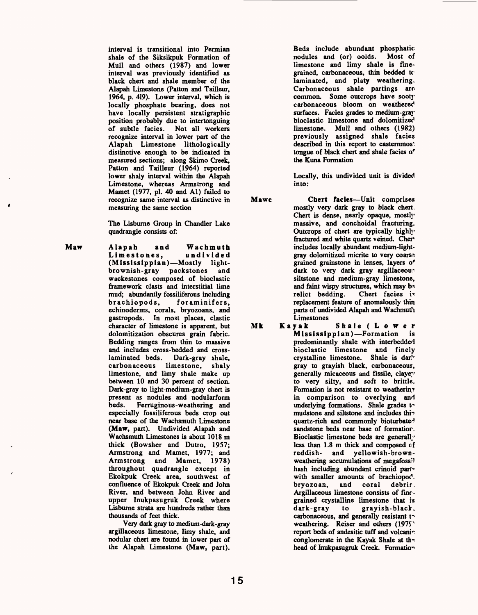interval is transitional into Permian shale of the Siksikpuk Formation of Mull and others (1987) and lower interval was previously identified as black chert and shale member of the Alapah Limestone (Patton and Tailleur, 1964, p. 419). Lower interval, which is locally phosphate bearing, does not have locally persistent stratigraphic position probably due to intertonguing of subtle facies. Not all workers recognize interval in lower part of the Alapah Limestone lithologically distinctive enough to be indicated in measured sections; along Skimo Creek, Patton and Tailleur (1964) reported lower shaly interval within the Alapah Limestone, whereas Armstrong and Mamet (1977, pi. 40 and Al) failed to recognize same interval as distinctive in measuring the same section

The Lisburne Group in Chandler Lake quadrangle consists of:

Maw Alapah and Wachmuth Limestones, (Mississippian)-Mostly lightbrownish-gray packstones and wackestones composed of bioclastic framework clasts and interstitial lime mud; abundantly fossiliferous including<br>brachiopods, foraminifers. foraminifers. echinoderms, corals, bryozoans, and gastropods. In most places, clastic character of limestone is apparent, but dolomitization obscures grain fabric. Bedding ranges from thin to massive and includes cross-bedded and cross-<br>laminated beds. Dark-grav shale. Dark-gray shale, carbonaceous limestone, shaly limestone, and limy shale make up between 10 and 30 percent of section. Dark-gray to light-medium-gray chert is present as nodules and nodularform Ferruginous-weathering and especially fossiliferous beds crop out near base of the Wachsmuth Limestone (Maw, part). Undivided Alapah and Wachsmuth Limestones is about 1018 m thick (Bowsher and Dutro, 1957; Armstrong and Mamet, 1977; and Armstrong and Mamet, 1978) throughout quadrangle except in Ekokpuk Creek area, southwest of confluence of Ekokpuk Creek and John River, and between John River and upper Inukpasugruk Creek where Lisburne strata are hundreds rather than thousands of feet thick.

> Very dark gray to medium-dark-gray argillaceous limestone, limy shale, and nodular chert are found in lower part of the Alapah Limestone (Maw, part).

Beds include abundant phosphatic nodules and (or) ooids. Most of limestone and limy shale is finegrained, carbonaceous, thin bedded to laminated, and platy weathering. Carbonaceous shale partings arc common. Some outcrops have soot)' carbonaceous bloom on weathered surfaces. Facies grades to medium-gray bioclastic limestone and dolomitized limestone. Mull and others (1982) previously assigned shale facies described in this report to easternmos<sup>\*</sup> tongue of black chert and shale facies of the Kuna Formation

Locally, this undivided unit is divided into:

Mawc Chert facies—Unit comprises mostly very dark gray to black chert. Chert is dense, nearly opaque, mostly massive, and conchoidal fracturing. Outcrops of chert are typically highly fractured and white quartz veined. Cher includes locally abundant medium-lightgray dolomitized micrite to very coarse grained grainstone in lenses, layers *of*  dark to very dark gray argillaceous siltstone and medium-gray limestone, and faint wispy structures, which may be relict bedding. Chert facies is replacement feature of anomalously thin parts of undivided Alapah and Wachmuth Limestones<br>Kayak

Mk Kayak Shale (Lower Mississippian)-Formation is predominantly shale with interbedded bioclastic limestone and finely crystalline limestone. Shale is darlgray to grayish black, carbonaceous, generally micaceous and fissile, claye<sup>1</sup> to very silty, and soft to brittle. Formation is not resistant to weatherin $\tau$ in comparison to overlying and underlying formations. Shale grades to mudstone and siltstone and includes thir quartz-rich and commonly bioturbate4 sandstone beds near base of formatior, Bioclastic limestone beds are generally less than 1.8 m thick and composed of reddish- and yellowish-brownweathering accumulations of megafoss'1 hash including abundant crinoid part\* with smaller amounts of brachiopod. bryozoan, and coral debris. Argillaceous limestone consists of finegrained crystalline limestone that is dark-gray to grayish-black, carbonaceous, and generally resistant to weathering. Reiser and others (1975) report beds of andesitic tuff and volcaning conglomerate in the Kayak Shale at the head of Inukpasugruk Creek. Formation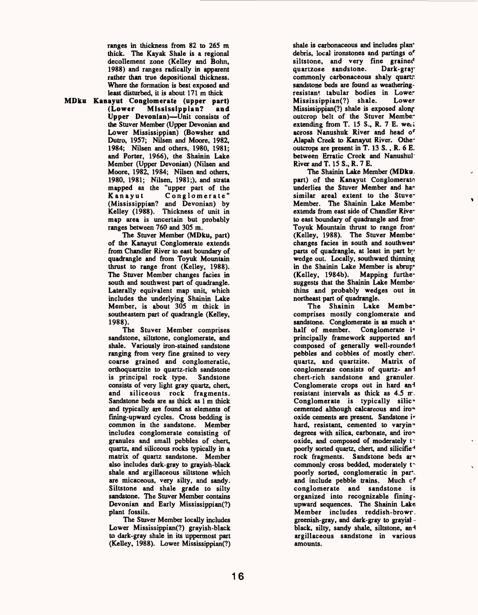ranges in thickness from 82 to 265 m thick. The Kayak Shale is a regional decollement zone (Kelley and Bohn, 1988) and ranges radically in apparent rather than true depositional thickness. Where the formation is best exposed and least disturbed, it is about 171 m thick

MDku Kanayut Conglomerate (upper part) Mississippian? and Upper Devonian)—Unit consists of the Stuver Member (Upper Devonian and Lower Mississippian) (Bowsher and Dutro, 1957; Nilsen and Moore, 1982, 1984; Nilsen and others, 1980, 1981; and Porter, 1966), the Shainin Lake Member (Upper Devonian) (Nilsen and Moore, 1982, 1984; Nilsen and others, 1980, 1981; Nilsen, 1981;), and strata mapped as the "upper part of the<br>Kanayut Conglomerate" Conglomerate" (Mississippian? and Devonian) by Kelley (1988). Thickness of unit in map area is uncertain but probably ranges between 760 and 305 m.

The Stuver Member (MDku, part) of the Kanayut Conglomerate extends from Chandler River to east boundary of quadrangle and from Toyuk Mountain thrust to range front (Kelley, 1988). The Stuver Member changes facies in south and southwest part of quadrangle. Laterally equivalent map unit, which includes the underlying Shainin Lake Member, is about 305 m thick in southeastern part of quadrangle (Kelley, 1988).

The Stuver Member comprises sandstone, siltstone, conglomerate, and shale. Variously iron-stained sandstone ranging from very fine grained to very coarse grained and conglomeratic, orthoquartzite to quartz-rich sandstone is principal rock type. Sandstone consists of very light gray quartz, chert, and siliceous rock fragments. Sandstone beds are as thick as 1 m thick and typically are found as elements of fining-upward cycles. Cross bedding is common in the sandstone. Member includes conglomerate consisting of granules and small pebbles of chert, quartz, and siliceous rocks typically in a matrix of quartz sandstone. Member also includes dark-gray to grayish-black shale and argillaceous siltstone which are micaceous, very silty, and sandy. Siltstone and shale grade to silty sandstone. The Stuver Member contains Devonian and Early Mississippian(?) plant fossils.

The Stuver Member locally includes Lower Mississippian(?) grayish-black to dark-gray shale in its uppermost part (Kelley, 1988). Lower Mississippian(?)

shale is carbonaceous and includes plan\* debris, local ironstones and partings of siltstone, and very fine grained<br>quartzose sandstone. Dark-gray quartzose sandstone. commonly carbonaceous shaly quartr. sandstone beds are found as weatheringresistant tabular bodies in Lower Mississippian(?) shale. Lower Mississippian(?) shale is exposed along outcrop belt of the Stuver Member extending from T. 15 S., R. 7 E. we.i across Nanushuk River and head of Alapah Creek to Kanayut River. Otheoutcrops are present in T. 13 S., R. 6 E. between Erratic Creek and Nanushul River and T. 15 S., R. 7 E.

The Shainin Lake Member (MDku, part) of the Kanayut Conglomerate underlies the Stuver Member and has similar areal extent to the Stuve-Member. The Shainin Lake Membeextends from east side of Chandler Riveto east boundary of quadrangle and from Toyuk Mountain thrust to range fron\* (Kelley, 1988). The Stuver Membechanges facies in south and southwes\* parts of quadrangle, at least in part by wedge out. Locally, southward thinning in the Shainin Lake Member is abrup\* (Kelley, 1984b). Mapping furthe~ suggests that the Shainin Lake Membethins and probably wedges out in northeast part of quadrangle.

The Shainin Lake Membe" comprises mostly conglomerate and sandstone. Conglomerate is as much a<sup>t</sup> half of member. Conglomerate is principally framework supported and composed of generally well-rounded pebbles and cobbles of mostly cherr, quartz, and quartzite. Matrix of conglomerate consists of quartz- and chert-rich sandstone and granule?. Conglomerate crops out in hard and resistant intervals as thick as  $4.5 \text{ m}$ . Conglomerate is typically silic\* cemented although calcareous and iro\* oxide cements are present. Sandstone i« hard, resistant, cemented to varyin<sup>\*</sup> degrees with silica, carbonate, and iro $*$ oxide, and composed of moderately the poorly sorted quartz, chert, and silicifie<sup>4</sup> rock fragments. Sandstone beds ar\* commonly cross bedded, moderately to poorly sorted, conglomeratic in part. and include pebble trains. Much of conglomerate and sandstone is organized into recognizable finingupward sequences. The Shainin Lake Member includes reddish-browr greenish-gray, and dark-gray to grayisl black, silty, sandy shale, siltstone, and argillaceous sandstone in various amounts.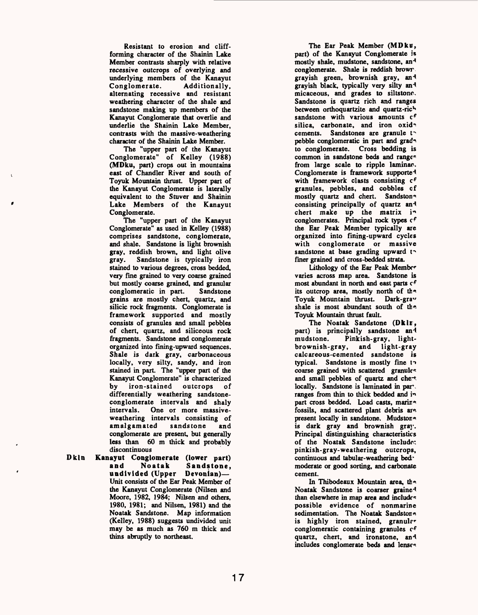Resistant to erosion and cliffforming character of the Shainin Lake Member contrasts sharply with relative recessive outcrops of overlying and underlying members of the Kanayut<br>Conglomerate. Additionally. Additionally, alternating recessive and resistant weathering character of the shale and sandstone making up members of the Kanayut Conglomerate that overlie and underlie the Shainin Lake Member, contrasts with the massive-weathering character of the Shainin Lake Member.

The "upper part of the Kanayut Conglomerate" of Kelley (1988) **(MDku,** part) crops out in mountains east of Chandler River and south of Toyuk Mountain thrust. Upper part of the Kanayut Conglomerate is laterally equivalent to the Stuver and Shainin Lake Members of the Kanayut Conglomerate.

The "upper part of the Kanayut Conglomerate" as used in Kelley (1988) comprises sandstone, conglomerate, and shale. Sandstone is light brownish gray, reddish brown, and light olive gray. Sandstone is typically iron stained to various degrees, cross bedded, very fine grained to very coarse grained but mostly coarse grained, and granular<br>conglomeratic in part. Sandstone conglomeratic in part. grains are mostly chert, quartz, and silicic rock fragments. Conglomerate is framework supported and mostly consists of granules and small pebbles of chert, quartz, and siliceous rock fragments. Sandstone and conglomerate organized into fining-upward sequences. Shale is dark gray, carbonaceous locally, very silty, sandy, and iron stained in part. The "upper part of the Kanayut Conglomerate" is characterized<br>by iron-stained outcrops of by iron-stained outcrops of differentially weathering sandstoneconglomerate intervals and shaly intervals. One or more massiveweathering intervals consisting of amalgamated sandstone and conglomerate are present, but generally less than 60 m thick and probably discontinuous

**Dkln Kanayut Conglomerate (lower part) and Noatak Sandstone,**  undivided (Upper Devonian)-Unit consists of the Ear Peak Member of the Kanayut Conglomerate (Nilsen and Moore, 1982, 1984; Nilsen and others, 1980, 1981; and Nilsen, 1981) and the Noatak Sandstone. Map information (Kelley, 1988) suggests undivided unit may be as much as 760 m thick and thins abruptly to northeast.

The Ear Peak Member **(MDku,**  part) of the Kanayut Conglomerate is mostly shale, mudstone, sandstone, an<sup>4</sup> conglomerate. Shale is reddish browr grayish green, brownish gray, an<sup>1</sup> grayish black, typically very silty an<sup>1</sup> micaceous, and grades to siltstone. Sandstone is quartz rich and ranges between orthoquartzite and quartz-rich sandstone with various amounts  $c<sup>f</sup>$ silica, carbonate, and iron oxid<sup>\*</sup> cements. Sandstones are granule to pebble conglomeratic in part and grad<sup>e</sup> to conglomerate. Cross bedding is common in sandstone beds and ranges from large scale to ripple laminae. Conglomerate is framework supported with framework clasts consisting cf granules, pebbles, and cobbles cf mostly quartz and chert. Sandston<sup>®</sup> consisting principally of quartz and chert make up the matrix  $i<sup>n</sup>$ conglomerates. Principal rock types cf the Ear Peak Member typically are organized into fining-upward cycles with conglomerate or massive sandstone at base grading upward to finer grained and cross-bedded strata.

Lithology of the Ear Peak Member varies across map area. Sandstone is most abundant in north and east parts cf its outcrop area, mostly north of the Toyuk Mountain thrust. Dark-grav shale is most abundant south of the Toyuk Mountain thrust fault.

The Noatak Sandstone **(Dklir,**  part) is principally sandstone and<br>mudstone. Pinkish-gray, light-Pinkish-gray, lightbrownish-gray, and light-gray calcareous-cemented sandstone is typical. Sandstone is mostly fine to coarse grained with scattered granule\* and small pebbles of quartz and chert locally. Sandstone is laminated in part. ranges from thin to thick bedded and in part cross bedded. Load casts, marina fossils, and scattered plant debris are present locally in sandstone. Mudstone is dark gray and brownish gray. Principal distinguishing characteristics of the Noatak Sandstone include: pinkish-gray-weathering outcrops, continuous and tabular-weathering bed' moderate or good sorting, and carbonate cement.

In Thibodeaux Mountain area, the Noatak Sandstone is coarser grained than elsewhere in map area and include<sup> $\kappa$ </sup> possible evidence of nonmarine sedimentation. The Noatak Sandstone is highly iron stained, granule conglomeratic containing granules cf quartz, chert, and ironstone, and includes conglomerate beds and lenses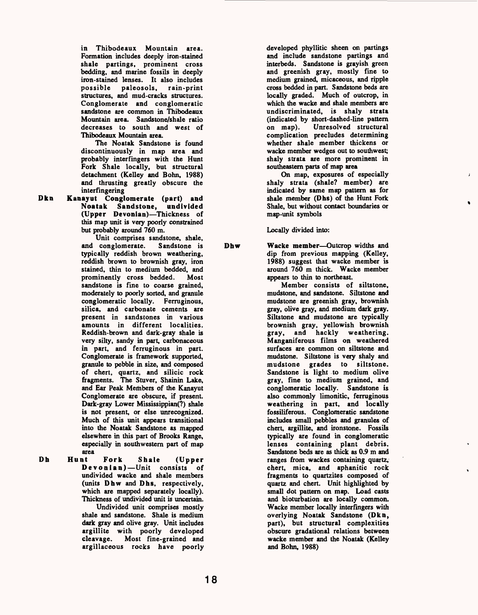in Thibodeaux Mountain area. Formation includes deeply iron-stained shale partings, prominent cross bedding, and marine fossils in deeply iron-stained lenses. It also includes possible paleosols, rain-print structures, and mud-cracks structures. Conglomerate and conglomeratic sandstone are common in Thibodeaux Mountain area. Sandstone/shale ratio decreases to south and west of Thibodeaux Mountain area.

The Noatak Sandstone is found discontinuously in map area and probably interfingers with the Hunt Fork Shale locally, but structural detachment (Kelley and Bohn, 1988) and thrusting greatly obscure the interfingering

Dkn Kanayut Conglomerate (part) and Noatak Sandstone, undivided (Upper Devonian)-Thickness of this map unit is very poorly constrained but probably around 760 m.

Unit comprises sandstone, shale, and conglomerate. Sandstone is typically reddish brown weathering, reddish brown to brownish gray, iron stained, thin to medium bedded, and<br>prominently cross bedded. Most prominently cross bedded. sandstone is fine to coarse grained, moderately to poorly sorted, and granule conglomeratic locally. Ferruginous, silica, and carbonate cements are present in sandstones in various amounts in different localities. Reddish-brown and dark-gray shale is very silty, sandy in part, carbonaceous in part, and ferruginous in part. Conglomerate is framework supported, granule to pebble in size, and composed of chert, quartz, and silicic rock fragments. The Stuver, Shainin Lake, and Ear Peak Members of the Kanayut Conglomerate are obscure, if present. Dark-gray Lower Mississippian(?) shale is not present, or else unrecognized. Much of this unit appears transitional into the Noatak Sandstone as mapped elsewhere in this part of Brooks Range, especially in southwestern part of map

area<br>Hunt Dh Hunt Fork Shale (Upper Devonian) — Unit consists of undivided wacke and shale members (units Dhw and Dhs, respectively, which are mapped separately locally). Thickness of undivided unit is uncertain.

Undivided unit comprises mostly shale and sandstone. Shale is medium dark gray and olive gray. Unit includes argillite with poorly developed<br>cleavage. Most fine-grained and Most fine-grained and argillaceous rocks have poorly

developed phyllitic sheen on partings and include sandstone partings and interbeds. Sandstone is grayish green and greenish gray, mostly fine to medium grained, micaceous, and ripple cross bedded in part. Sandstone beds are locally graded. Much of outcrop, in which the wacke and shale members are undiscriminated, is shaly strata (indicated by short-dashed-line pattern on map). Unresolved structural complication precludes determining whether shale member thickens or wacke member wedges out to southwest; shaly strata are more prominent in southeastern parts of map area

On map, exposures of especially shaly strata (shale? member) are indicated by same map pattern as for shale member (Dhs) of the Hunt Fork Shale, but without contact boundaries or map-unit symbols

Locally divided into:

Dhw Wacke member—Outcrop widths and dip from previous mapping (Kelley, 1988) suggest that wacke member is around 760 m thick. Wacke member appears to thin to northeast.

Member consists of siltstone, mudstone, and sandstone. Siltstone and mudstone are greenish gray, brownish gray, olive gray, and medium dark gray. Siltstone and mudstone are typically brownish gray, yellowish brownish gray, and hackly weathering. Manganiferous films on weathered surfaces are common on siltstone and mudstone. Siltstone is very shaly and mudstone grades to siltstone. Sandstone is light to medium olive gray, fine to medium grained, and conglomeratic locally. Sandstone is also commonly limonitic, ferruginous weathering in part, and locally fossiliferous. Conglomeratic sandstone includes small pebbles and granules of chert, argillite, and ironstone. Fossils typically are found in conglomeratic lenses containing plant debris. Sandstone beds are as thick as 0.9 m and ranges from wackes containing quartz, chert, mica, and aphanitic rock fragments to quartzites composed of quartz and chert. Unit highlighted by small dot pattern on map. Load casts and bioturbation are locally common. Wacke member locally interfingers with overlying Noatak Sandstone (Dkn, part), but structural complexities obscure gradational relations between wacke member and the Noatak (Kelley and Bohn, 1988)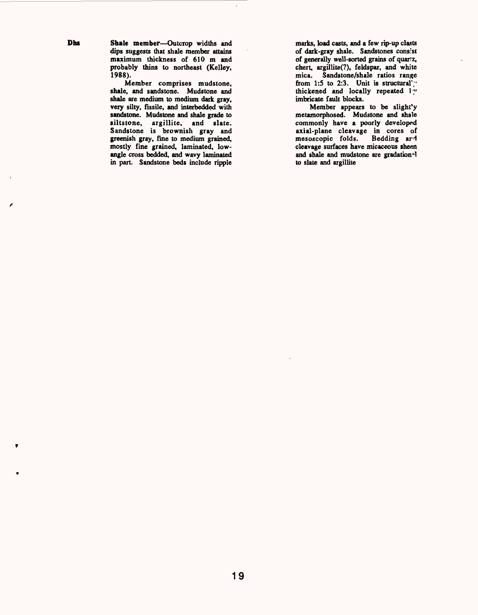Dhs Shale member-Outcrop widths and dips suggests that shale member attains maximum thickness of 610 m and probably thins to northeast (Kelley, 1988).

Member comprises mudstone, shale, and sandstone. Mudstone and shale are medium to medium dark gray, very silty, fissile, and interbedded with sandstone. Mudstone and shale grade to siltstone, argillite, and slate. Sandstone is brownish gray and greenish gray, fine to medium grained, mostly fine grained, laminated, lowangle cross bedded, and wavy laminated in part. Sandstone beds include ripple

marks, load casts, and a few rip-up clasts of dark-gray shale. Sandstones consist of generally well-sorted grains of quartz, chert, argillite(?), feldspar, and white mica. Sandstone/shale ratios range from 1:5 to 2:3. Unit is structural'; thickened and locally repeated 17' imbricate fault blocks.

Member appears to be slight'y metamorphosed. Mudstone and shale commonly have a poorly developed axial-plane cleavage in cores of mesoscopic folds. Bedding ar4 cleavage surfaces have micaceous sheen and shale and mudstone are gradation<sup>-1</sup> to slate and argillite